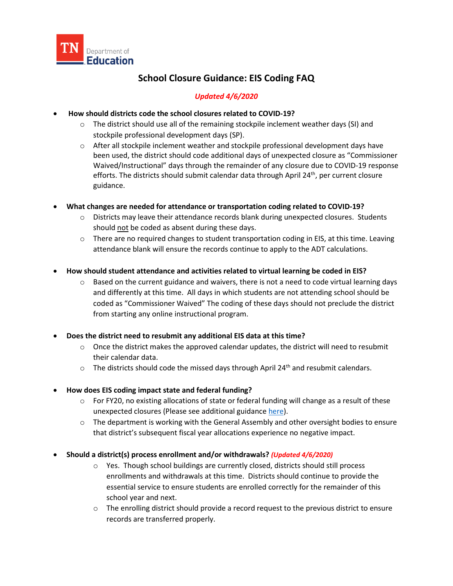

# **School Closure Guidance: EIS Coding FAQ**

# *Updated 4/6/2020*

#### • **How should districts code the school closures related to COVID-19?**

- $\circ$  The district should use all of the remaining stockpile inclement weather days (SI) and stockpile professional development days (SP).
- o After all stockpile inclement weather and stockpile professional development days have been used, the district should code additional days of unexpected closure as "Commissioner Waived/Instructional" days through the remainder of any closure due to COVID-19 response efforts. The districts should submit calendar data through April  $24<sup>th</sup>$ , per current closure guidance.
- **What changes are needed for attendance or transportation coding related to COVID-19?**
	- o Districts may leave their attendance records blank during unexpected closures. Students should not be coded as absent during these days.
	- $\circ$  There are no required changes to student transportation coding in EIS, at this time. Leaving attendance blank will ensure the records continue to apply to the ADT calculations.
- **How should student attendance and activities related to virtual learning be coded in EIS?**
	- $\circ$  Based on the current guidance and waivers, there is not a need to code virtual learning days and differently at this time. All days in which students are not attending school should be coded as "Commissioner Waived" The coding of these days should not preclude the district from starting any online instructional program.

## • **Does the district need to resubmit any additional EIS data at this time?**

- $\circ$  Once the district makes the approved calendar updates, the district will need to resubmit their calendar data.
- $\circ$  The districts should code the missed days through April 24<sup>th</sup> and resubmit calendars.

## • **How does EIS coding impact state and federal funding?**

- o For FY20, no existing allocations of state or federal funding will change as a result of these unexpected closures (Please see additional guidance [here\)](https://www.tn.gov/content/dam/tn/education/health-&-safety/Finance%20School%20Funding%20in%20Event%20of%20a%20Closure%20COVID-19%20Guidance.pdf).
- $\circ$  The department is working with the General Assembly and other oversight bodies to ensure that district's subsequent fiscal year allocations experience no negative impact.
- **Should a district(s) process enrollment and/or withdrawals?** *(Updated 4/6/2020)*
	- $\circ$  Yes. Though school buildings are currently closed, districts should still process enrollments and withdrawals at this time. Districts should continue to provide the essential service to ensure students are enrolled correctly for the remainder of this school year and next.
	- $\circ$  The enrolling district should provide a record request to the previous district to ensure records are transferred properly.